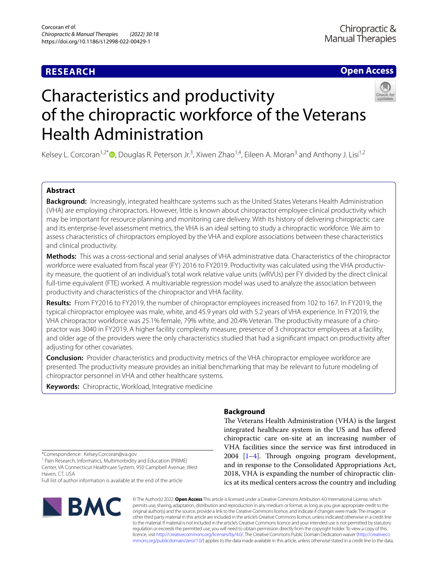## **RESEARCH**

## **Open Access**



# Characteristics and productivity of the chiropractic workforce of the Veterans Health Administration

Kelsey L. Corcoran<sup>1,2\*</sup> <sup>D</sup>[,](http://orcid.org/0000-0003-0600-0063) Douglas R. Peterson Jr.<sup>3</sup>, Xiwen Zhao<sup>1,4</sup>, Eileen A. Moran<sup>3</sup> and Anthony J. Lisi<sup>1,2</sup>

### **Abstract**

**Background:** Increasingly, integrated healthcare systems such as the United States Veterans Health Administration (VHA) are employing chiropractors. However, little is known about chiropractor employee clinical productivity which may be important for resource planning and monitoring care delivery. With its history of delivering chiropractic care and its enterprise-level assessment metrics, the VHA is an ideal setting to study a chiropractic workforce. We aim to assess characteristics of chiropractors employed by the VHA and explore associations between these characteristics and clinical productivity.

**Methods:** This was a cross-sectional and serial analyses of VHA administrative data. Characteristics of the chiropractor workforce were evaluated from fscal year (FY) 2016 to FY2019. Productivity was calculated using the VHA productivity measure, the quotient of an individual's total work relative value units (wRVUs) per FY divided by the direct clinical full-time equivalent (FTE) worked. A multivariable regression model was used to analyze the association between productivity and characteristics of the chiropractor and VHA facility.

**Results:** From FY2016 to FY2019, the number of chiropractor employees increased from 102 to 167. In FY2019, the typical chiropractor employee was male, white, and 45.9 years old with 5.2 years of VHA experience. In FY2019, the VHA chiropractor workforce was 25.1% female, 79% white, and 20.4% Veteran. The productivity measure of a chiropractor was 3040 in FY2019. A higher facility complexity measure, presence of 3 chiropractor employees at a facility, and older age of the providers were the only characteristics studied that had a signifcant impact on productivity after adjusting for other covariates.

**Conclusion:** Provider characteristics and productivity metrics of the VHA chiropractor employee workforce are presented. The productivity measure provides an initial benchmarking that may be relevant to future modeling of chiropractor personnel in VHA and other healthcare systems.

**Keywords:** Chiropractic, Workload, Integrative medicine

\*Correspondence: Kelsey.Corcoran@va.gov

<sup>1</sup> Pain Research, Informatics, Multimorbidity and Education (PRIME) Center, VA Connecticut Healthcare System, 950 Campbell Avenue, West Haven, CT, USA

Full list of author information is available at the end of the article



## **Background**

The Veterans Health Administration (VHA) is the largest integrated healthcare system in the US and has ofered chiropractic care on-site at an increasing number of VHA facilities since the service was frst introduced in  $2004$  $2004$  [[1–](#page-6-0)4]. Through ongoing program development, and in response to the Consolidated Appropriations Act, 2018, VHA is expanding the number of chiropractic clinics at its medical centers across the country and including

© The Author(s) 2022. **Open Access** This article is licensed under a Creative Commons Attribution 4.0 International License, which permits use, sharing, adaptation, distribution and reproduction in any medium or format, as long as you give appropriate credit to the original author(s) and the source, provide a link to the Creative Commons licence, and indicate if changes were made. The images or other third party material in this article are included in the article's Creative Commons licence, unless indicated otherwise in a credit line to the material. If material is not included in the article's Creative Commons licence and your intended use is not permitted by statutory regulation or exceeds the permitted use, you will need to obtain permission directly from the copyright holder. To view a copy of this licence, visit [http://creativecommons.org/licenses/by/4.0/.](http://creativecommons.org/licenses/by/4.0/) The Creative Commons Public Domain Dedication waiver ([http://creativeco](http://creativecommons.org/publicdomain/zero/1.0/) [mmons.org/publicdomain/zero/1.0/](http://creativecommons.org/publicdomain/zero/1.0/)) applies to the data made available in this article, unless otherwise stated in a credit line to the data.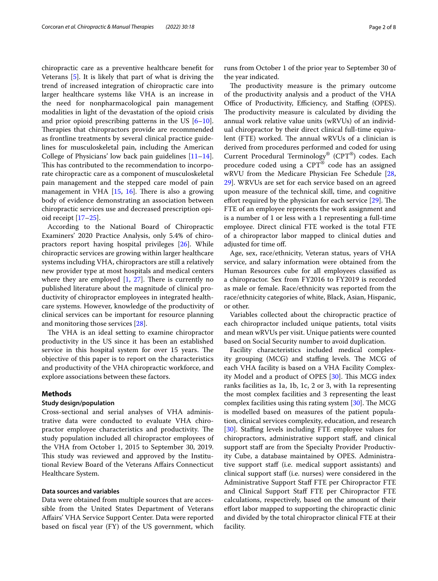chiropractic care as a preventive healthcare beneft for Veterans [\[5](#page-6-2)]. It is likely that part of what is driving the trend of increased integration of chiropractic care into larger healthcare systems like VHA is an increase in the need for nonpharmacological pain management modalities in light of the devastation of the opioid crisis and prior opioid prescribing patterns in the US  $[6-10]$  $[6-10]$ . Therapies that chiropractors provide are recommended as frontline treatments by several clinical practice guidelines for musculoskeletal pain, including the American College of Physicians' low back pain guidelines  $[11-14]$  $[11-14]$  $[11-14]$ . This has contributed to the recommendation to incorporate chiropractic care as a component of musculoskeletal pain management and the stepped care model of pain management in VHA  $[15, 16]$  $[15, 16]$  $[15, 16]$  $[15, 16]$ . There is also a growing body of evidence demonstrating an association between chiropractic services use and decreased prescription opioid receipt [[17–](#page-6-9)[25](#page-6-10)].

According to the National Board of Chiropractic Examiners' 2020 Practice Analysis, only 5.4% of chiropractors report having hospital privileges [[26\]](#page-7-0). While chiropractic services are growing within larger healthcare systems including VHA, chiropractors are still a relatively new provider type at most hospitals and medical centers where they are employed  $[1, 27]$  $[1, 27]$  $[1, 27]$  $[1, 27]$ . There is currently no published literature about the magnitude of clinical productivity of chiropractor employees in integrated healthcare systems. However, knowledge of the productivity of clinical services can be important for resource planning and monitoring those services [\[28](#page-7-2)].

The VHA is an ideal setting to examine chiropractor productivity in the US since it has been an established service in this hospital system for over 15 years. The objective of this paper is to report on the characteristics and productivity of the VHA chiropractic workforce, and explore associations between these factors.

#### **Methods**

#### **Study design/population**

Cross-sectional and serial analyses of VHA administrative data were conducted to evaluate VHA chiropractor employee characteristics and productivity. The study population included all chiropractor employees of the VHA from October 1, 2015 to September 30, 2019. This study was reviewed and approved by the Institutional Review Board of the Veterans Afairs Connecticut Healthcare System.

#### **Data sources and variables**

Data were obtained from multiple sources that are accessible from the United States Department of Veterans Afairs' VHA Service Support Center. Data were reported based on fscal year (FY) of the US government, which runs from October 1 of the prior year to September 30 of the year indicated.

The productivity measure is the primary outcome of the productivity analysis and a product of the VHA Office of Productivity, Efficiency, and Staffing (OPES). The productivity measure is calculated by dividing the annual work relative value units (wRVUs) of an individual chiropractor by their direct clinical full-time equivalent (FTE) worked. The annual wRVUs of a clinician is derived from procedures performed and coded for using Current Procedural Terminology® (CPT®) codes. Each procedure coded using a CPT® code has an assigned wRVU from the Medicare Physician Fee Schedule [[28](#page-7-2), [29\]](#page-7-3). WRVUs are set for each service based on an agreed upon measure of the technical skill, time, and cognitive effort required by the physician for each service  $[29]$  $[29]$ . The FTE of an employee represents the work assignment and is a number of 1 or less with a 1 representing a full-time employee. Direct clinical FTE worked is the total FTE of a chiropractor labor mapped to clinical duties and adjusted for time of.

Age, sex, race/ethnicity, Veteran status, years of VHA service, and salary information were obtained from the Human Resources cube for all employees classifed as a chiropractor. Sex from FY2016 to FY2019 is recorded as male or female. Race/ethnicity was reported from the race/ethnicity categories of white, Black, Asian, Hispanic, or other.

Variables collected about the chiropractic practice of each chiropractor included unique patients, total visits and mean wRVUs per visit. Unique patients were counted based on Social Security number to avoid duplication.

Facility characteristics included medical complexity grouping (MCG) and staffing levels. The MCG of each VHA facility is based on a VHA Facility Complexity Model and a product of OPES  $[30]$  $[30]$ . This MCG index ranks facilities as 1a, 1b, 1c, 2 or 3, with 1a representing the most complex facilities and 3 representing the least complex facilities using this rating system  $[30]$  $[30]$ . The MCG is modelled based on measures of the patient population, clinical services complexity, education, and research [[30\]](#page-7-4). Staffing levels including FTE employee values for chiropractors, administrative support staf, and clinical support staff are from the Specialty Provider Productivity Cube, a database maintained by OPES. Administrative support staf (i.e. medical support assistants) and clinical support staf (i.e. nurses) were considered in the Administrative Support Staf FTE per Chiropractor FTE and Clinical Support Staf FTE per Chiropractor FTE calculations, respectively, based on the amount of their efort labor mapped to supporting the chiropractic clinic and divided by the total chiropractor clinical FTE at their facility.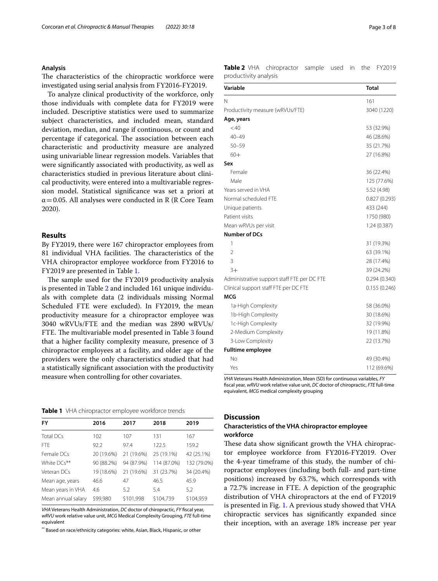#### **Analysis**

The characteristics of the chiropractic workforce were investigated using serial analysis from FY2016-FY2019.

To analyze clinical productivity of the workforce, only those individuals with complete data for FY2019 were included. Descriptive statistics were used to summarize subject characteristics, and included mean, standard deviation, median, and range if continuous, or count and percentage if categorical. The association between each characteristic and productivity measure are analyzed using univariable linear regression models. Variables that were signifcantly associated with productivity, as well as characteristics studied in previous literature about clinical productivity, were entered into a multivariable regression model. Statistical signifcance was set a priori at  $\alpha$  = 0.05. All analyses were conducted in R (R Core Team 2020).

#### **Results**

By FY2019, there were 167 chiropractor employees from 81 individual VHA facilities. The characteristics of the VHA chiropractor employee workforce from FY2016 to FY2019 are presented in Table [1.](#page-2-0)

The sample used for the FY2019 productivity analysis is presented in Table [2](#page-2-1) and included 161 unique individuals with complete data (2 individuals missing Normal Scheduled FTE were excluded). In FY2019, the mean productivity measure for a chiropractor employee was 3040 wRVUs/FTE and the median was 2890 wRVUs/ FTE. The multivariable model presented in Table [3](#page-3-0) found that a higher facility complexity measure, presence of 3 chiropractor employees at a facility, and older age of the providers were the only characteristics studied that had a statistically signifcant association with the productivity measure when controlling for other covariates.

<span id="page-2-0"></span>**Table 1** VHA chiropractor employee workforce trends

| <b>FY</b>          | 2016       | 2017       | 2018        | 2019        |
|--------------------|------------|------------|-------------|-------------|
| <b>Total DCs</b>   | 102        | 107        | 131         | 167         |
| <b>FTF</b>         | 92.2       | 97.4       | 122.5       | 159.2       |
| Female DCs         | 20 (19.6%) | 21 (19.6%) | 25 (19.1%)  | 42 (25.1%)  |
| White DCs**        | 90 (88.2%) | 94 (87.9%) | 114 (87.0%) | 132 (79.0%) |
| Veteran DCs        | 19 (18.6%) | 21 (19.6%) | 31 (23.7%)  | 34 (20.4%)  |
| Mean age, years    | 46.6       | 47         | 46.5        | 45.9        |
| Mean years in VHA  | 4.6        | 5.2        | 5.4         | 5.2         |
| Mean annual salary | \$99,980   | \$101,998  | \$104,739   | \$104,959   |

*VHA* Veterans Health Administration, *DC* doctor of chiropractic, *FY* fscal year, *wRVU* work relative value unit, *MCG* Medical Complexity Grouping, *FTE* full-time equivalent

\*\* Based on race/ethnicity categories: white, Asian, Black, Hispanic, or other

<span id="page-2-1"></span>**Table 2** VHA chiropractor sample used in the FY2019 productivity analysis

| Variable                                    | <b>Total</b> |  |  |  |
|---------------------------------------------|--------------|--|--|--|
| Ν                                           | 161          |  |  |  |
| Productivity measure (wRVUs/FTE)            | 3040 (1220)  |  |  |  |
| Age, years                                  |              |  |  |  |
| < 40                                        | 53 (32.9%)   |  |  |  |
| $40 - 49$                                   | 46 (28.6%)   |  |  |  |
| $50 - 59$                                   | 35 (21.7%)   |  |  |  |
| $60+$                                       | 27 (16.8%)   |  |  |  |
| Sex                                         |              |  |  |  |
| Female                                      | 36 (22.4%)   |  |  |  |
| Male                                        | 125 (77.6%)  |  |  |  |
| Years served in VHA                         | 5.52 (4.98)  |  |  |  |
| Normal scheduled FTE                        | 0.827(0.293) |  |  |  |
| Unique patients                             | 433 (244)    |  |  |  |
| Patient visits                              | 1750 (980)   |  |  |  |
| Mean wRVUs per visit                        | 1.24(0.387)  |  |  |  |
| <b>Number of DCs</b>                        |              |  |  |  |
| 1                                           | 31 (19.3%)   |  |  |  |
| $\overline{2}$                              | 63 (39.1%)   |  |  |  |
| 3                                           | 28 (17.4%)   |  |  |  |
| $3+$                                        | 39 (24.2%)   |  |  |  |
| Administrative support staff FTE per DC FTE | 0.294(0.340) |  |  |  |
| Clinical support staff FTE per DC FTE       | 0.155(0.246) |  |  |  |
| MCG                                         |              |  |  |  |
| 1a-High Complexity                          | 58 (36.0%)   |  |  |  |
| 1b-High Complexity                          | 30 (18.6%)   |  |  |  |
| 1c-High Complexity                          | 32 (19.9%)   |  |  |  |
| 2-Medium Complexity                         | 19 (11.8%)   |  |  |  |
| 3-Low Complexity                            | 22 (13.7%)   |  |  |  |
| <b>Fulltime employee</b>                    |              |  |  |  |
| Nο                                          | 49 (30.4%)   |  |  |  |
| Yes                                         | 112 (69.6%)  |  |  |  |

*VHA* Veterans Health Administration, Mean (SD) for continuous variables, *FY* fscal year, *wRVU* work relative value unit, *DC* doctor of chiropractic, *FTE* full-time equivalent, *MCG* medical complexity grouping

#### **Discussion**

#### **Characteristics of the VHA chiropractor employee workforce**

These data show significant growth the VHA chiropractor employee workforce from FY2016-FY2019. Over the 4-year timeframe of this study, the number of chiropractor employees (including both full- and part-time positions) increased by 63.7%, which corresponds with a 72.7% increase in FTE. A depiction of the geographic distribution of VHA chiropractors at the end of FY2019 is presented in Fig. [1.](#page-4-0) A previous study showed that VHA chiropractic services has signifcantly expanded since their inception, with an average 18% increase per year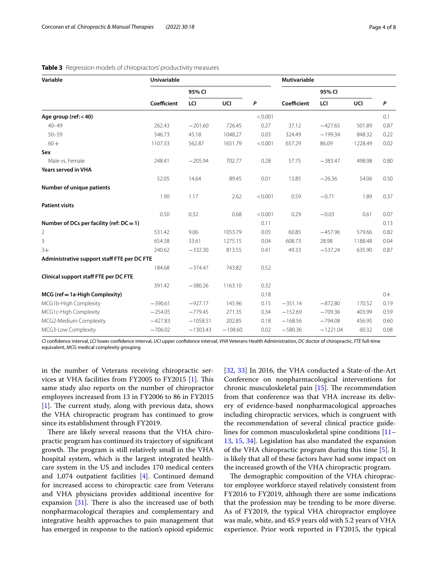| Variable                                    | <b>Univariable</b> |            |           |         | <b>Mutivariable</b> |            |         |      |
|---------------------------------------------|--------------------|------------|-----------|---------|---------------------|------------|---------|------|
|                                             |                    | 95% CI     |           |         |                     | 95% CI     |         |      |
|                                             | Coefficient        | LCI        | UCI       | P       | Coefficient         | LCI        | UCI     | P    |
| Age group ( $ref: < 40$ )                   |                    |            |           | < 0.001 |                     |            |         | 0.1  |
| $40 - 49$                                   | 262.43             | $-201.60$  | 726.45    | 0.27    | 37.12               | $-427.65$  | 501.89  | 0.87 |
| $50 - 59$                                   | 546.73             | 45.18      | 1048.27   | 0.03    | 324.49              | $-199.34$  | 848.32  | 0.22 |
| $60 +$                                      | 1107.33            | 562.87     | 1651.79   | < 0.001 | 657.29              | 86.09      | 1228.49 | 0.02 |
| Sex                                         |                    |            |           |         |                     |            |         |      |
| Male vs. Female                             | 248.41             | $-205.94$  | 702.77    | 0.28    | 57.75               | $-383.47$  | 498.98  | 0.80 |
| <b>Years served in VHA</b>                  |                    |            |           |         |                     |            |         |      |
|                                             | 52.05              | 14.64      | 89.45     | 0.01    | 13.85               | $-26.36$   | 54.06   | 0.50 |
| Number of unique patients                   |                    |            |           |         |                     |            |         |      |
|                                             | 1.90               | 1.17       | 2.62      | < 0.001 | 0.59                | $-0.71$    | 1.89    | 0.37 |
| <b>Patient visits</b>                       |                    |            |           |         |                     |            |         |      |
|                                             | 0.50               | 0.32       | 0.68      | < 0.001 | 0.29                | $-0.03$    | 0.61    | 0.07 |
| Number of DCs per facility (ref: $DC = 1$ ) |                    |            |           | 0.11    |                     |            |         | 0.13 |
| 2                                           | 531.42             | 9.06       | 1053.79   | 0.05    | 60.85               | $-457.96$  | 579.66  | 0.82 |
| 3                                           | 654.38             | 33.61      | 1275.15   | 0.04    | 608.73              | 28.98      | 1188.48 | 0.04 |
| $3+$                                        | 240.62             | $-332.30$  | 813.55    | 0.41    | 49.33               | $-537.24$  | 635.90  | 0.87 |
| Administrative support staff FTE per DC FTE |                    |            |           |         |                     |            |         |      |
|                                             | 184.68             | $-374.47$  | 743.82    | 0.52    |                     |            |         |      |
| Clinical support staff FTE per DC FTE       |                    |            |           |         |                     |            |         |      |
|                                             | 391.42             | $-380.26$  | 1163.10   | 0.32    |                     |            |         |      |
| MCG (ref = 1a-High Complexity)              |                    |            |           | 0.18    |                     |            |         | 0.4  |
| MCG1b-High Complexity                       | $-390.61$          | $-927.17$  | 145.96    | 0.15    | $-351.14$           | $-872.80$  | 170.52  | 0.19 |
| MCG1c-High Complexity                       | $-254.05$          | $-779.45$  | 271.35    | 0.34    | $-152.69$           | $-709.36$  | 403.99  | 0.59 |
| MCG2-Medium Complexity                      | $-427.83$          | $-1058.51$ | 202.85    | 0.18    | $-168.56$           | $-794.08$  | 456.95  | 0.60 |
| MCG3-Low Complexity                         | $-706.02$          | $-1303.43$ | $-108.60$ | 0.02    | $-580.36$           | $-1221.04$ | 60.32   | 0.08 |

#### <span id="page-3-0"></span>**Table 3** Regression models of chiropractors' productivity measures

*CI* confdence interval, *LCI* lower confdence interval, *UCI* upper confdence interval, *VHA* Veterans Health Administration, *DC* doctor of chiropractic, *FTE* full-time equivalent, *MCG* medical complexity grouping

in the number of Veterans receiving chiropractic ser-vices at VHA facilities from FY2005 to FY2015 [[1\]](#page-6-0). This same study also reports on the number of chiropractor employees increased from 13 in FY2006 to 86 in FY2015 [[1\]](#page-6-0). The current study, along with previous data, shows the VHA chiropractic program has continued to grow since its establishment through FY2019.

There are likely several reasons that the VHA chiropractic program has continued its trajectory of signifcant growth. The program is still relatively small in the VHA hospital system, which is the largest integrated healthcare system in the US and includes 170 medical centers and 1,074 outpatient facilities [\[4](#page-6-1)]. Continued demand for increased access to chiropractic care from Veterans and VHA physicians provides additional incentive for expansion  $[31]$ . There is also the increased use of both nonpharmacological therapies and complementary and integrative health approaches to pain management that has emerged in response to the nation's opioid epidemic [[32,](#page-7-6) [33](#page-7-7)] In 2016, the VHA conducted a State-of-the-Art Conference on nonpharmacological interventions for chronic musculoskeletal pain  $[15]$  $[15]$ . The recommendation from that conference was that VHA increase its delivery of evidence-based nonpharmacological approaches including chiropractic services, which is congruent with the recommendation of several clinical practice guidelines for common musculoskeletal spine conditions [[11–](#page-6-5) [13,](#page-6-11) [15,](#page-6-7) [34\]](#page-7-8). Legislation has also mandated the expansion of the VHA chiropractic program during this time [\[5\]](#page-6-2). It is likely that all of these factors have had some impact on the increased growth of the VHA chiropractic program.

The demographic composition of the VHA chiropractor employee workforce stayed relatively consistent from FY2016 to FY2019, although there are some indications that the profession may be trending to be more diverse. As of FY2019, the typical VHA chiropractor employee was male, white, and 45.9 years old with 5.2 years of VHA experience. Prior work reported in FY2015, the typical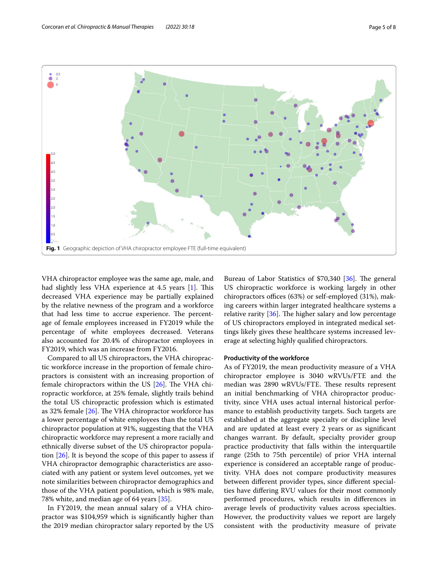

<span id="page-4-0"></span>VHA chiropractor employee was the same age, male, and had slightly less VHA experience at 4.5 years [[1\]](#page-6-0). This decreased VHA experience may be partially explained by the relative newness of the program and a workforce that had less time to accrue experience. The percentage of female employees increased in FY2019 while the percentage of white employees decreased. Veterans also accounted for 20.4% of chiropractor employees in FY2019, which was an increase from FY2016.

Compared to all US chiropractors, the VHA chiropractic workforce increase in the proportion of female chiropractors is consistent with an increasing proportion of female chiropractors within the US  $[26]$  $[26]$  $[26]$ . The VHA chiropractic workforce, at 25% female, slightly trails behind the total US chiropractic profession which is estimated as 32% female  $[26]$  $[26]$ . The VHA chiropractor workforce has a lower percentage of white employees than the total US chiropractor population at 91%, suggesting that the VHA chiropractic workforce may represent a more racially and ethnically diverse subset of the US chiropractor population [\[26](#page-7-0)]. It is beyond the scope of this paper to assess if VHA chiropractor demographic characteristics are associated with any patient or system level outcomes, yet we note similarities between chiropractor demographics and those of the VHA patient population, which is 98% male, 78% white, and median age of 64 years [\[35](#page-7-9)].

In FY2019, the mean annual salary of a VHA chiropractor was \$104,959 which is signifcantly higher than the 2019 median chiropractor salary reported by the US

Bureau of Labor Statistics of  $$70,340$  [\[36\]](#page-7-10). The general US chiropractic workforce is working largely in other chiropractors offices (63%) or self-employed (31%), making careers within larger integrated healthcare systems a relative rarity  $[36]$  $[36]$ . The higher salary and low percentage of US chiropractors employed in integrated medical settings likely gives these healthcare systems increased leverage at selecting highly qualifed chiropractors.

#### **Productivity of the workforce**

As of FY2019, the mean productivity measure of a VHA chiropractor employee is 3040 wRVUs/FTE and the median was 2890 wRVUs/FTE. These results represent an initial benchmarking of VHA chiropractor productivity, since VHA uses actual internal historical performance to establish productivity targets. Such targets are established at the aggregate specialty or discipline level and are updated at least every 2 years or as signifcant changes warrant. By default, specialty provider group practice productivity that falls within the interquartile range (25th to 75th percentile) of prior VHA internal experience is considered an acceptable range of productivity. VHA does not compare productivity measures between diferent provider types, since diferent specialties have difering RVU values for their most commonly performed procedures, which results in diferences in average levels of productivity values across specialties. However, the productivity values we report are largely consistent with the productivity measure of private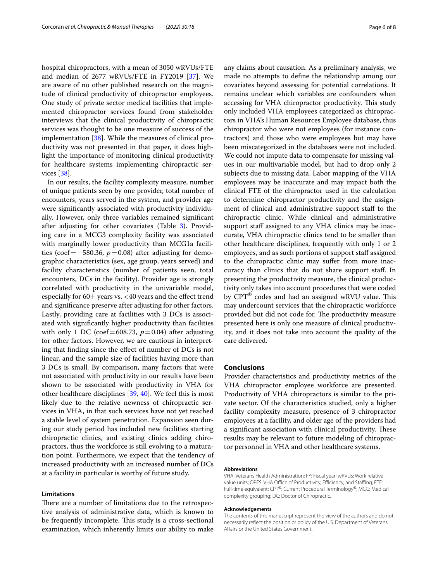hospital chiropractors, with a mean of 3050 wRVUs/FTE and median of 2677 wRVUs/FTE in FY2019 [[37\]](#page-7-11). We are aware of no other published research on the magnitude of clinical productivity of chiropractor employees. One study of private sector medical facilities that implemented chiropractor services found from stakeholder interviews that the clinical productivity of chiropractic services was thought to be one measure of success of the implementation [[38\]](#page-7-12). While the measures of clinical productivity was not presented in that paper, it does highlight the importance of monitoring clinical productivity for healthcare systems implementing chiropractic services [\[38\]](#page-7-12).

In our results, the facility complexity measure, number of unique patients seen by one provider, total number of encounters, years served in the system, and provider age were signifcantly associated with productivity individually. However, only three variables remained signifcant after adjusting for other covariates (Table [3](#page-3-0)). Providing care in a MCG3 complexity facility was associated with marginally lower productivity than MCG1a facilities (coef=−580.36, *p*=0.08) after adjusting for demographic characteristics (sex, age group, years served) and facility characteristics (number of patients seen, total encounters, DCs in the facility). Provider age is strongly correlated with productivity in the univariable model, especially for  $60+$  years vs. <40 years and the effect trend and signifcance preserve after adjusting for other factors. Lastly, providing care at facilities with 3 DCs is associated with signifcantly higher productivity than facilities with only 1 DC (coef=608.73,  $p=0.04$ ) after adjusting for other factors. However, we are cautious in interpreting that fnding since the efect of number of DCs is not linear, and the sample size of facilities having more than 3 DCs is small. By comparison, many factors that were not associated with productivity in our results have been shown to be associated with productivity in VHA for other healthcare disciplines [\[39,](#page-7-13) [40\]](#page-7-14). We feel this is most likely due to the relative newness of chiropractic services in VHA, in that such services have not yet reached a stable level of system penetration. Expansion seen during our study period has included new facilities starting chiropractic clinics, and existing clinics adding chiropractors, thus the workforce is still evolving to a maturation point. Furthermore, we expect that the tendency of increased productivity with an increased number of DCs at a facility in particular is worthy of future study.

#### **Limitations**

There are a number of limitations due to the retrospective analysis of administrative data, which is known to be frequently incomplete. This study is a cross-sectional examination, which inherently limits our ability to make any claims about causation. As a preliminary analysis, we made no attempts to defne the relationship among our covariates beyond assessing for potential correlations. It remains unclear which variables are confounders when accessing for VHA chiropractor productivity. This study only included VHA employees categorized as chiropractors in VHA's Human Resources Employee database, thus chiropractor who were not employees (for instance contractors) and those who were employees but may have been miscategorized in the databases were not included. We could not impute data to compensate for missing values in our multivariable model, but had to drop only 2 subjects due to missing data. Labor mapping of the VHA employees may be inaccurate and may impact both the clinical FTE of the chiropractor used in the calculation to determine chiropractor productivity and the assignment of clinical and administrative support staff to the chiropractic clinic. While clinical and administrative support staff assigned to any VHA clinics may be inaccurate, VHA chiropractic clinics tend to be smaller than other healthcare disciplines, frequently with only 1 or 2 employees, and as such portions of support staff assigned to the chiropractic clinic may sufer from more inaccuracy than clinics that do not share support staf. In presenting the productivity measure, the clinical productivity only takes into account procedures that were coded by  $CPT^{\circledast}$  codes and had an assigned wRVU value. This may undercount services that the chiropractic workforce provided but did not code for. The productivity measure presented here is only one measure of clinical productivity, and it does not take into account the quality of the care delivered.

#### **Conclusions**

Provider characteristics and productivity metrics of the VHA chiropractor employee workforce are presented. Productivity of VHA chiropractors is similar to the private sector. Of the characteristics studied, only a higher facility complexity measure, presence of 3 chiropractor employees at a facility, and older age of the providers had a significant association with clinical productivity. These results may be relevant to future modeling of chiropractor personnel in VHA and other healthcare systems.

#### **Abbreviations**

VHA: Veterans Health Administration; FY: Fiscal year; wRVUs: Work relative value units: OPES: VHA Office of Productivity, Efficiency, and Staffing: FTE Full-time equivalent; CPT®: Current Procedural Terminology®; MCG: Medical complexity grouping; DC: Doctor of Chiropractic.

#### **Acknowledgements**

The contents of this manuscript represent the view of the authors and do not necessarily refect the position or policy of the U.S. Department of Veterans Afairs or the United States Government.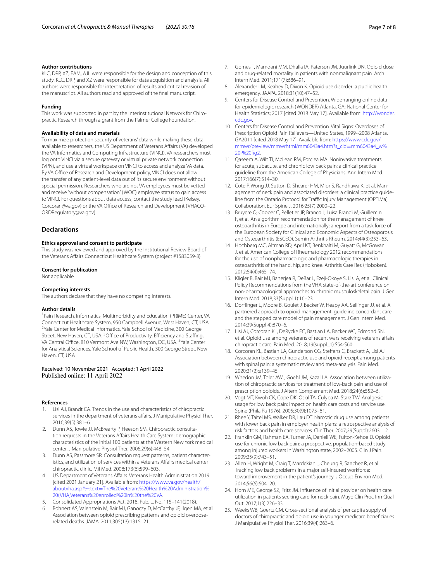#### **Author contributions**

KLC, DRP, XZ, EAM, AJL were responsible for the design and conception of this study. KLC, DRP, and XZ were responsible for data acquisition and analysis. All authors were responsible for interpretation of results and critical revision of the manuscript. All authors read and approved of the fnal manuscript.

#### **Funding**

This work was supported in part by the Interinstitutional Network for Chiropractic Research through a grant from the Palmer College Foundation.

#### **Availability of data and materials**

To maximize protection security of veterans' data while making these data available to researchers, the US Department of Veterans Afairs (VA) developed the VA Informatics and Computing Infrastructure (VINCI). VA researchers must log onto VINCI via a secure gateway or virtual private network connection (VPN), and use a virtual workspace on VINCI to access and analyze VA data. By VA Office of Research and Development policy, VINCI does not allow the transfer of any patient-level data out of its secure environment without special permission. Researchers who are not VA employees must be vetted and receive "without compensation" (WOC) employee status to gain access to VINCI. For questions about data access, contact the study lead (Kelsey. Corcoran@va.gov) or the VA Office of Research and Development (VHACO-ORDRegulatory@va.gov).

#### **Declarations**

#### **Ethics approval and consent to participate**

This study was reviewed and approved by the Institutional Review Board of the Veterans Afairs Connecticut Healthcare System (project #1583059-3).

#### **Consent for publication**

Not applicable.

#### **Competing interests**

The authors declare that they have no competing interests.

#### **Author details**

<sup>1</sup> Pain Research, Informatics, Multimorbidity and Education (PRIME) Center, VA Connecticut Healthcare System, 950 Campbell Avenue, West Haven, CT, USA. <sup>2</sup> Yale Center for Medical Informatics, Yale School of Medicine, 300 George Street, New Haven, CT, USA. <sup>3</sup>Office of Productivity, Efficiency and Staffing, VA Central Office, 810 Vermont Ave NW, Washington, DC, USA. <sup>4</sup>Yale Center for Analytical Sciences, Yale School of Public Health, 300 George Street, New Haven, CT, USA.

## Received: 10 November 2021 Accepted: 1 April 2022

#### **References**

- <span id="page-6-0"></span>Lisi AJ, Brandt CA. Trends in the use and characteristics of chiropractic services in the department of veterans afairs. J Manipulative Physiol Ther. 2016;39(5):381–6.
- 2. Dunn AS, Towle JJ, McBrearty P, Fleeson SM. Chiropractic consultation requests in the Veterans Affairs Health Care System: demographic characteristics of the initial 100 patients at the Western New York medical center. J Manipulative Physiol Ther. 2006;29(6):448–54.
- 3. Dunn AS, Passmore SR. Consultation request patterns, patient characteristics, and utilization of services within a Veterans Affairs medical center chiropractic clinic. Mil Med. 2008;173(6):599–603.
- <span id="page-6-1"></span>4. US Department of Veterans Afairs. Veterans Health Administration 2019 [cited 2021 January 21]. Available from: [https://www.va.gov/health/](https://www.va.gov/health/aboutvha.asp#:~:text=The%20Veterans%20Health%20Administration%20(VHA,Veterans%20enrolled%20in%20the%20VA) aboutvha.asp#:~:text=[The%20Veterans%20Health%20Administration%](https://www.va.gov/health/aboutvha.asp#:~:text=The%20Veterans%20Health%20Administration%20(VHA,Veterans%20enrolled%20in%20the%20VA) [20\(VHA,Veterans%20enrolled%20in%20the%20VA.](https://www.va.gov/health/aboutvha.asp#:~:text=The%20Veterans%20Health%20Administration%20(VHA,Veterans%20enrolled%20in%20the%20VA)
- <span id="page-6-2"></span>5. Consolidated Appropriations Act, 2018, Pub. L. No. 115–141(2018).
- <span id="page-6-3"></span>6. Bohnert AS, Valenstein M, Bair MJ, Ganoczy D, McCarthy JF, Ilgen MA, et al. Association between opioid prescribing patterns and opioid overdoserelated deaths. JAMA. 2011;305(13):1315–21.
- 7. Gomes T, Mamdani MM, Dhalla IA, Paterson JM, Juurlink DN. Opioid dose and drug-related mortality in patients with nonmalignant pain. Arch Intern Med. 2011;171(7):686–91.
- 8. Alexander LM, Keahey D, Dixon K. Opioid use disorder: a public health emergency. JAAPA. 2018;31(10):47–52.
- 9. Centers for Disease Control and Prevention. Wide-ranging online data for epidemiologic research (WONDER) Atlanta, GA: National Center for Health Statistics; 2017 [cited 2018 May 17]. Available from: [http://wonder.](http://wonder.cdc.gov) [cdc.gov.](http://wonder.cdc.gov)
- <span id="page-6-4"></span>10. Centers for Disease Control and Prevention. Vital Signs: Overdoses of Prescription Opioid Pain Relievers—United States, 1999--2008 Atlanta, GA2011 [cited 2018 May 17]. Available from: [https://www.cdc.gov/](https://www.cdc.gov/mmwr/preview/mmwrhtml/mm6043a4.htm?s_cid=mm6043a4_w%20-%20fig2) [mmwr/preview/mmwrhtml/mm6043a4.htm?s\\_cid](https://www.cdc.gov/mmwr/preview/mmwrhtml/mm6043a4.htm?s_cid=mm6043a4_w%20-%20fig2)=mm6043a4\_w% 20-%20fig2.
- <span id="page-6-5"></span>11. Oaseem A, Wilt TJ, McLean RM, Forciea MA, Noninvasive treatments for acute, subacute, and chronic low back pain: a clinical practice guideline from the American College of Physicians. Ann Intern Med. 2017;166(7):514–30.
- 12. Cote P, Wong JJ, Sutton D, Shearer HM, Mior S, Randhawa K, et al. Management of neck pain and associated disorders: a clinical practice guideline from the Ontario Protocol for Traffic Injury Management (OPTIMa) Collaboration. Eur Spine J. 2016;25(7):2000–22.
- <span id="page-6-11"></span>13. Bruyere O, Cooper C, Pelletier JP, Branco J, Luisa Brandi M, Guillemin F, et al. An algorithm recommendation for the management of knee osteoarthritis in Europe and internationally: a report from a task force of the European Society for Clinical and Economic Aspects of Osteoporosis and Osteoarthritis (ESCEO). Semin Arthritis Rheum. 2014;44(3):253–63.
- <span id="page-6-6"></span>14. Hochberg MC, Altman RD, April KT, Benkhalti M, Guyatt G, McGowan J, et al. American College of Rheumatology 2012 recommendations for the use of nonpharmacologic and pharmacologic therapies in osteoarthritis of the hand, hip, and knee. Arthritis Care Res (Hoboken). 2012;64(4):465–74.
- <span id="page-6-7"></span>15. Kligler B, Bair MJ, Banerjea R, DeBar L, Ezeji-Okoye S, Lisi A, et al. Clinical Policy Recommendations from the VHA state-of-the-art conference on non-pharmacological approaches to chronic musculoskeletal pain. J Gen Intern Med. 2018;33(Suppl 1):16–23.
- <span id="page-6-8"></span>16. Dorfinger L, Moore B, Goulet J, Becker W, Heapy AA, Sellinger JJ, et al. A partnered approach to opioid management, guideline concordant care and the stepped care model of pain management. J Gen Intern Med. 2014;29(Suppl 4):870–6.
- <span id="page-6-9"></span>17. Lisi AJ, Corcoran KL, DeRycke EC, Bastian LA, Becker WC, Edmond SN, et al. Opioid use among veterans of recent wars receiving veterans affairs chiropractic care. Pain Med. 2018;19(suppl\_1):S54-S60.
- 18. Corcoran KL, Bastian LA, Gunderson CG, Stefens C, Brackett A, Lisi AJ. Association between chiropractic use and opioid receipt among patients with spinal pain: a systematic review and meta-analysis. Pain Med. 2020;21(2):e139–45.
- 19. Whedon JM, Toler AWJ, Goehl JM, Kazal LA. Association between utilization of chiropractic services for treatment of low-back pain and use of prescription opioids. J Altern Complement Med. 2018;24(6):552–6.
- 20. Vogt MT, Kwoh CK, Cope DK, Osial TA, Culyba M, Starz TW. Analgesic usage for low back pain: impact on health care costs and service use. Spine (Phila Pa 1976). 2005;30(9):1075–81.
- 21. Rhee Y, Taitel MS, Walker DR, Lau DT. Narcotic drug use among patients with lower back pain in employer health plans: a retrospective analysis of risk factors and health care services. Clin Ther. 2007;29(Suppl):2603–12.
- 22. Franklin GM, Rahman EA, Turner JA, Daniell WE, Fulton-Kehoe D. Opioid use for chronic low back pain: a prospective, population-based study among injured workers in Washington state, 2002–2005. Clin J Pain. 2009;25(9):743–51.
- 23. Allen H, Wright M, Craig T, Mardekian J, Cheung R, Sanchez R, et al. Tracking low back problems in a major self-insured workforce: toward improvement in the patient's journey. J Occup Environ Med. 2014;56(6):604–20.
- 24. Horn ME, George SZ, Fritz JM. Infuence of initial provider on health care utilization in patients seeking care for neck pain. Mayo Clin Proc Inn Qual Out. 2017;1(3):226–33.
- <span id="page-6-10"></span>25. Weeks WB, Goertz CM. Cross-sectional analysis of per capita supply of doctors of chiropractic and opioid use in younger medicare benefciaries. J Manipulative Physiol Ther. 2016;39(4):263–6.